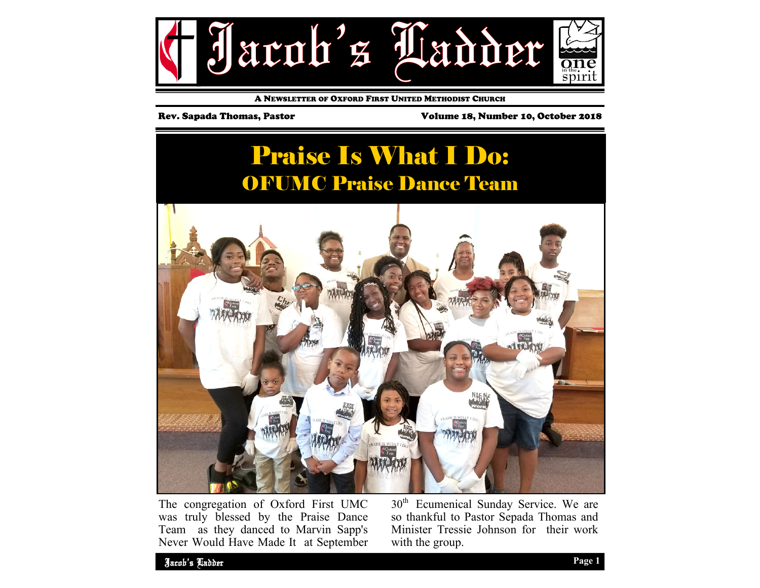

A NEWSLETTER OF OXFORD FIRST UNITED METHODIST CHURCH

Rev. Sapada Thomas, Pastor Volume 18, Number 10, October 2018



The congregation of Oxford First UMC was truly blessed by the Praise Dance Team as they danced to Marvin Sapp's Never Would Have Made It at September 30<sup>th</sup> Ecumenical Sunday Service. We are so thankful to Pastor Sepada Thomas and Minister Tressie Johnson for their work with the group.

Jacob's Ladder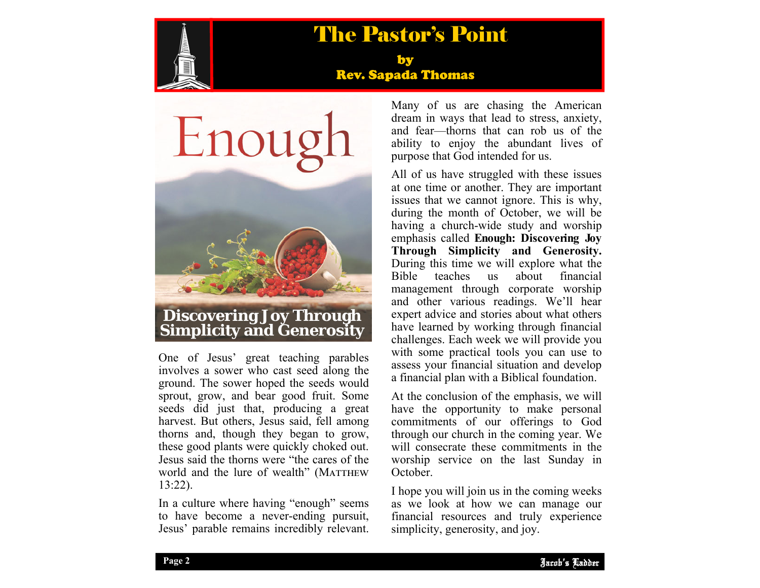## The Pastor's Point

by Rev. Sapada Thomas

Enough

# **Discovering Joy Through Simplicity and Generosity**

One of Jesus' great teaching parables involves a sower who cast seed along the ground. The sower hoped the seeds would sprout, grow, and bear good fruit. Some seeds did just that, producing a great harvest. But others, Jesus said, fell among thorns and, though they began to grow, these good plants were quickly choked out. Jesus said the thorns were "the cares of the world and the lure of wealth" (MATTHEW 13:22).

In a culture where having "enough" seems to have become a never-ending pursuit, Jesus' parable remains incredibly relevant.

Many of us are chasing the American dream in ways that lead to stress, anxiety, and fear—thorns that can rob us of the ability to enjoy the abundant lives of purpose that God intended for us.

All of us have struggled with these issues at one time or another. They are important issues that we cannot ignore. This is why, during the month of October, we will be having a church-wide study and worship emphasis called **Enough: Discovering Joy Through Simplicity and Generosity.**  During this time we will explore what the Bible teaches us about financial management through corporate worship and other various readings. We'll hear expert advice and stories about what others have learned by working through financial challenges. Each week we will provide you with some practical tools you can use to assess your financial situation and develop a financial plan with a Biblical foundation.

At the conclusion of the emphasis, we will have the opportunity to make personal commitments of our offerings to God through our church in the coming year. We will consecrate these commitments in the worship service on the last Sunday in October.

as we look at how we can manage our I hope you will join us in the coming weeks financial resources and truly experience simplicity, generosity, and joy.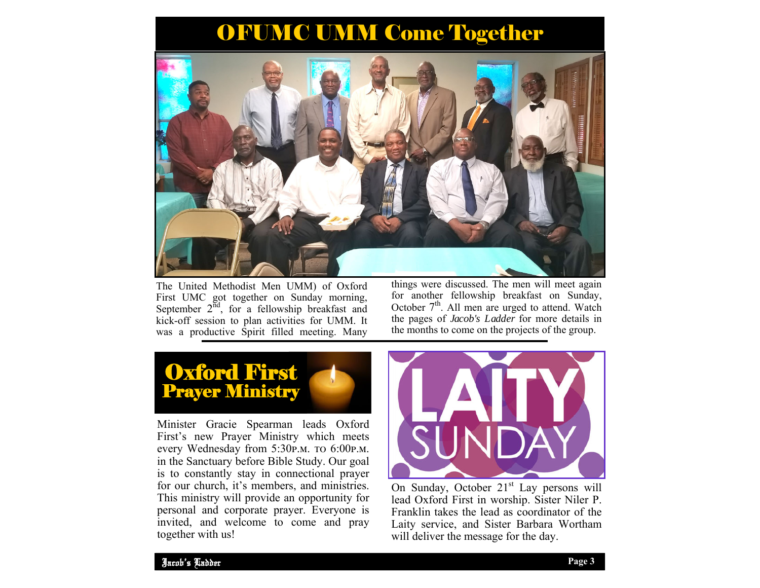## OFUMC UMM Come Together



The United Methodist Men UMM) of Oxford First UMC got together on Sunday morning, September  $2^{\overline{nd}}$ , for a fellowship breakfast and kick-off session to plan activities for UMM. It was a productive Spirit filled meeting. Many

things were discussed. The men will meet again for another fellowship breakfast on Sunday, October  $7<sup>th</sup>$ . All men are urged to attend. Watch the pages of *Jacob's Ladder* for more details in the months to come on the projects of the group.



Minister Gracie Spearman leads Oxford First's new Prayer Ministry which meets every Wednesday from 5:30р.м. то 6:00р.м. in the Sanctuary before Bible Study. Our goal is to constantly stay in connectional prayer for our church, it's members, and ministries. This ministry will provide an opportunity for personal and corporate prayer. Everyone is invited, and welcome to come and pray together with us!



On Sunday, October 21<sup>st</sup> Lay persons will lead Oxford First in worship. Sister Niler P. Franklin takes the lead as coordinator of the Laity service, and Sister Barbara Wortham will deliver the message for the day.